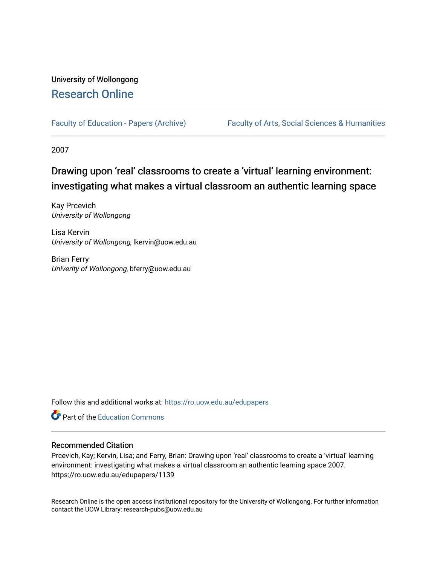## University of Wollongong [Research Online](https://ro.uow.edu.au/)

[Faculty of Education - Papers \(Archive\)](https://ro.uow.edu.au/edupapers) Faculty of Arts, Social Sciences & Humanities

2007

# Drawing upon 'real' classrooms to create a 'virtual' learning environment: investigating what makes a virtual classroom an authentic learning space

Kay Prcevich University of Wollongong

Lisa Kervin University of Wollongong, lkervin@uow.edu.au

Brian Ferry Univerity of Wollongong, bferry@uow.edu.au

Follow this and additional works at: [https://ro.uow.edu.au/edupapers](https://ro.uow.edu.au/edupapers?utm_source=ro.uow.edu.au%2Fedupapers%2F1139&utm_medium=PDF&utm_campaign=PDFCoverPages) 

**C** Part of the [Education Commons](http://network.bepress.com/hgg/discipline/784?utm_source=ro.uow.edu.au%2Fedupapers%2F1139&utm_medium=PDF&utm_campaign=PDFCoverPages)

#### Recommended Citation

Prcevich, Kay; Kervin, Lisa; and Ferry, Brian: Drawing upon 'real' classrooms to create a 'virtual' learning environment: investigating what makes a virtual classroom an authentic learning space 2007. https://ro.uow.edu.au/edupapers/1139

Research Online is the open access institutional repository for the University of Wollongong. For further information contact the UOW Library: research-pubs@uow.edu.au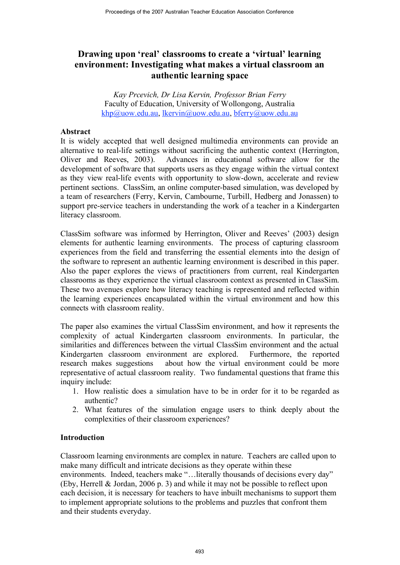## **Drawing upon 'real' classrooms to create a 'virtual' learning environment: Investigating what makes a virtual classroom an authentic learning space**

*Kay Prcevich, Dr Lisa Kervin, Professor Brian Ferry* Faculty of Education, University of Wollongong, Australia khp@uow.edu.au, lkervin@uow.edu.au, bferry@uow.edu.au

## **Abstract**

It is widely accepted that well designed multimedia environments can provide an alternative to real-life settings without sacrificing the authentic context (Herrington, Oliver and Reeves, 2003). Advances in educational software allow for the development of software that supports users as they engage within the virtual context as they view real-life events with opportunity to slow-down, accelerate and review pertinent sections. ClassSim, an online computer-based simulation, was developed by a team of researchers (Ferry, Kervin, Cambourne, Turbill, Hedberg and Jonassen) to support pre-service teachers in understanding the work of a teacher in a Kindergarten literacy classroom.

ClassSim software was informed by Herrington, Oliver and Reeves' (2003) design elements for authentic learning environments. The process of capturing classroom experiences from the field and transferring the essential elements into the design of the software to represent an authentic learning environment is described in this paper. Also the paper explores the views of practitioners from current, real Kindergarten classrooms as they experience the virtual classroom context as presented in ClassSim. These two avenues explore how literacy teaching is represented and reflected within the learning experiences encapsulated within the virtual environment and how this connects with classroom reality.

The paper also examines the virtual ClassSim environment, and how it represents the complexity of actual Kindergarten classroom environments. In particular, the similarities and differences between the virtual ClassSim environment and the actual Kindergarten classroom environment are explored. Furthermore, the reported research makes suggestions about how the virtual environment could be more representative of actual classroom reality. Two fundamental questions that frame this inquiry include:

- 1. How realistic does a simulation have to be in order for it to be regarded as authentic?
- 2. What features of the simulation engage users to think deeply about the complexities of their classroom experiences?

## **Introduction**

Classroom learning environments are complex in nature. Teachers are called upon to make many difficult and intricate decisions as they operate within these environments. Indeed, teachers make "...literally thousands of decisions every day" (Eby, Herrell & Jordan, 2006 p. 3) and while it may not be possible to reflect upon each decision, it is necessary for teachers to have inbuilt mechanisms to support them to implement appropriate solutions to the problems and puzzles that confront them and their students everyday.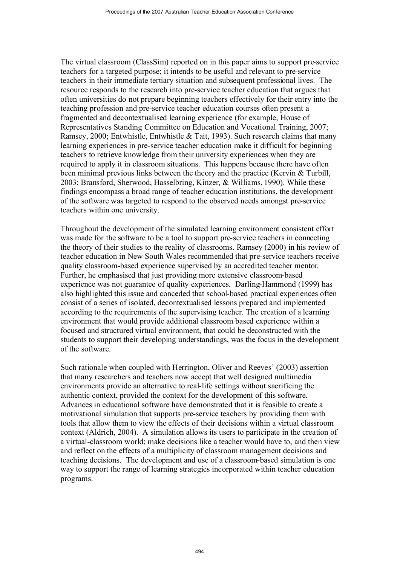The virtual classroom (ClassSim) reported on in this paper aims to support pre-service teachers for a targeted purpose; it intends to be useful and relevant to pre-service teachers in their immediate tertiary situation and subsequent professional lives. The resource responds to the research into pre-service teacher education that argues that often universities do not prepare beginning teachers effectively for their entry into the teaching profession and pre-service teacher education courses often present a fragmented and decontextualised learning experience (for example, House of Representatives Standing Committee on Education and Vocational Training, 2007; Ramsey, 2000; Entwhistle, Entwhistle & Tait, 1993). Such research claims that many learning experiences in pre-service teacher education make it difficult for beginning teachers to retrieve knowledge from their university experiences when they are required to apply it in classroom situations. This happens because there have often been minimal previous links between the theory and the practice (Kervin & Turbill, 2003; Bransford, Sherwood, Hasselbring, Kinzer, & Williams, 1990). While these findings encompass a broad range of teacher education institutions, the development of the software was targeted to respond to the observed needs amongst pre-service teachers within one university.

Throughout the development of the simulated learning environment consistent effort was made for the software to be a tool to support pre-service teachers in connecting the theory of their studies to the reality of classrooms. Ramsey (2000) in his review of teacher education in New South Wales recommended that pre-service teachers receive quality classroom-based experience supervised by an accredited teacher mentor. Further, he emphasised that just providing more extensive classroom-based experience was not guarantee of quality experiences. Darling-Hammond (1999) has also highlighted this issue and conceded that school-based practical experiences often consist of a series of isolated, decontextualised lessons prepared and implemented according to the requirements of the supervising teacher. The creation of a learning environment that would provide additional classroom based experience within a focused and structured virtual environment, that could be deconstructed with the students to support their developing understandings, was the focus in the development of the software.

Such rationale when coupled with Herrington, Oliver and Reeves' (2003) assertion that many researchers and teachers now accept that well designed multimedia environments provide an alternative to real-life settings without sacrificing the authentic context, provided the context for the development of this software. Advances in educational software have demonstrated that it is feasible to create a motivational simulation that supports pre-service teachers by providing them with tools that allow them to view the effects of their decisions within a virtual classroom context (Aldrich, 2004). A simulation allows its users to participate in the creation of a virtual-classroom world; make decisions like a teacher would have to, and then view and reflect on the effects of a multiplicity of classroom management decisions and teaching decisions. The development and use of a classroom-based simulation is one way to support the range of learning strategies incorporated within teacher education programs.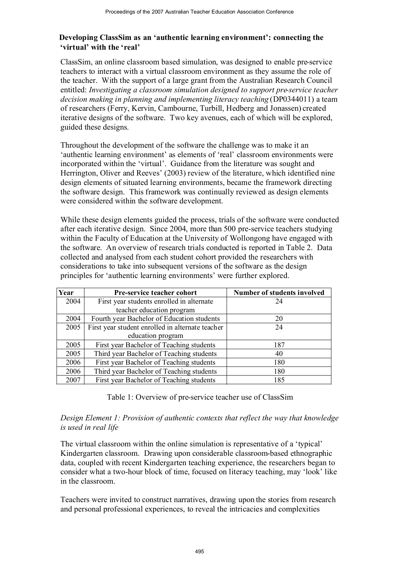## **Developing ClassSim as an 'authentic learning environment': connecting the 'virtual' with the 'real'**

ClassSim, an online classroom based simulation, was designed to enable pre-service teachers to interact with a virtual classroom environment as they assume the role of the teacher. With the support of a large grant from the Australian Research Council entitled: *Investigating a classroom simulation designed to support pre-service teacher decision making in planning and implementing literacy teaching* (DP0344011) a team of researchers (Ferry, Kervin, Cambourne, Turbill, Hedberg and Jonassen) created iterative designs of the software. Two key avenues, each of which will be explored, guided these designs.

Throughout the development of the software the challenge was to make it an 'authentic learning environment' as elements of 'real' classroom environments were incorporated within the 'virtual'. Guidance from the literature was sought and Herrington, Oliver and Reeves' (2003) review of the literature, which identified nine design elements of situated learning environments, became the framework directing the software design. This framework was continually reviewed as design elements were considered within the software development.

While these design elements guided the process, trials of the software were conducted after each iterative design. Since 2004, more than 500 pre-service teachers studying within the Faculty of Education at the University of Wollongong have engaged with the software. An overview of research trials conducted is reported in Table 2. Data collected and analysed from each student cohort provided the researchers with considerations to take into subsequent versions of the software as the design principles for 'authentic learning environments' were further explored.

| Year | Pre-service teacher cohort                       | Number of students involved |  |
|------|--------------------------------------------------|-----------------------------|--|
| 2004 | First year students enrolled in alternate        | 24                          |  |
|      | teacher education program                        |                             |  |
| 2004 | Fourth year Bachelor of Education students       | 20                          |  |
| 2005 | First year student enrolled in alternate teacher | 24                          |  |
|      | education program                                |                             |  |
| 2005 | First year Bachelor of Teaching students         | 187                         |  |
| 2005 | Third year Bachelor of Teaching students         | 40                          |  |
| 2006 | First year Bachelor of Teaching students         | 180                         |  |
| 2006 | Third year Bachelor of Teaching students         | 180                         |  |
| 2007 | First year Bachelor of Teaching students         | 185                         |  |

Table 1: Overview of pre-service teacher use of ClassSim

## *Design Element 1: Provision of authentic contexts that reflect the way that knowledge is used in real life*

The virtual classroom within the online simulation is representative of a 'typical' Kindergarten classroom. Drawing upon considerable classroom-based ethnographic data, coupled with recent Kindergarten teaching experience, the researchers began to consider what a two-hour block of time, focused on literacy teaching, may 'look' like in the classroom.

Teachers were invited to construct narratives, drawing upon the stories from research and personal professional experiences, to reveal the intricacies and complexities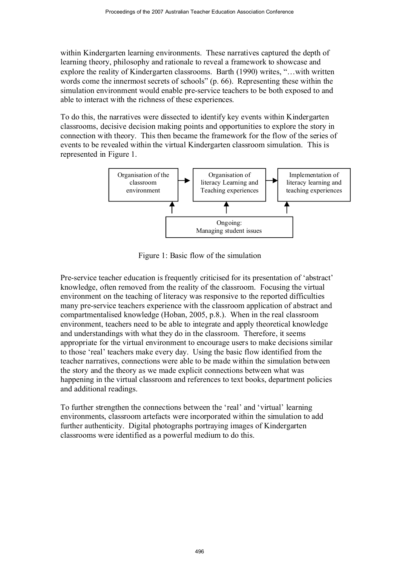within Kindergarten learning environments. These narratives captured the depth of learning theory, philosophy and rationale to reveal a framework to showcase and explore the reality of Kindergarten classrooms. Barth (1990) writes, "…with written words come the innermost secrets of schools" (p. 66). Representing these within the simulation environment would enable pre-service teachers to be both exposed to and able to interact with the richness of these experiences.

To do this, the narratives were dissected to identify key events within Kindergarten classrooms, decisive decision making points and opportunities to explore the story in connection with theory. This then became the framework for the flow of the series of events to be revealed within the virtual Kindergarten classroom simulation. This is represented in Figure 1.



Figure 1: Basic flow of the simulation

Pre-service teacher education is frequently criticised for its presentation of 'abstract' knowledge, often removed from the reality of the classroom. Focusing the virtual environment on the teaching of literacy was responsive to the reported difficulties many pre-service teachers experience with the classroom application of abstract and compartmentalised knowledge (Hoban, 2005, p.8.). When in the real classroom environment, teachers need to be able to integrate and apply theoretical knowledge and understandings with what they do in the classroom. Therefore, it seems appropriate for the virtual environment to encourage users to make decisions similar to those 'real' teachers make every day. Using the basic flow identified from the teacher narratives, connections were able to be made within the simulation between the story and the theory as we made explicit connections between what was happening in the virtual classroom and references to text books, department policies and additional readings.

To further strengthen the connections between the 'real' and 'virtual' learning environments, classroom artefacts were incorporated within the simulation to add further authenticity. Digital photographs portraying images of Kindergarten classrooms were identified as a powerful medium to do this.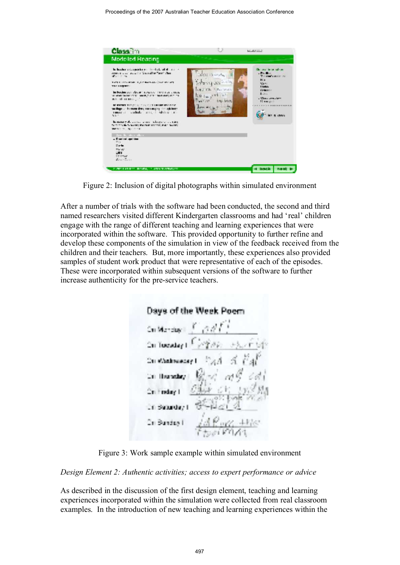

Figure 2: Inclusion of digital photographs within simulated environment

After a number of trials with the software had been conducted, the second and third named researchers visited different Kindergarten classrooms and had 'real' children engage with the range of different teaching and learning experiences that were incorporated within the software. This provided opportunity to further refine and develop these components of the simulation in view of the feedback received from the children and their teachers. But, more importantly, these experiences also provided samples of student work product that were representative of each of the episodes. These were incorporated within subsequent versions of the software to further increase authenticity for the pre-service teachers.

Days of the Week Poem  $ConMerase \mid f \mid \partial dl$ On Tuesday I F On Whatewacay Cri Housebry . n Basarday t In Bundas I

Figure 3: Work sample example within simulated environment

*Design Element 2: Authentic activities; access to expert performance or advice*

As described in the discussion of the first design element, teaching and learning experiences incorporated within the simulation were collected from real classroom examples. In the introduction of new teaching and learning experiences within the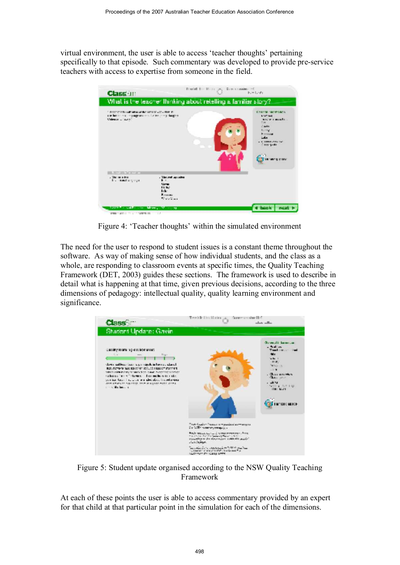virtual environment, the user is able to access 'teacher thoughts' pertaining specifically to that episode. Such commentary was developed to provide pre-service teachers with access to expertise from someone in the field.



Figure 4: 'Teacher thoughts' within the simulated environment

The need for the user to respond to student issues is a constant theme throughout the software. As way of making sense of how individual students, and the class as a whole, are responding to classroom events at specific times, the Quality Teaching Framework (DET, 2003) guides these sections. The framework is used to describe in detail what is happening at that time, given previous decisions, according to the three dimensions of pedagogy: intellectual quality, quality learning environment and significance.



Figure 5: Student update organised according to the NSW Quality Teaching Framework

At each of these points the user is able to access commentary provided by an expert for that child at that particular point in the simulation for each of the dimensions.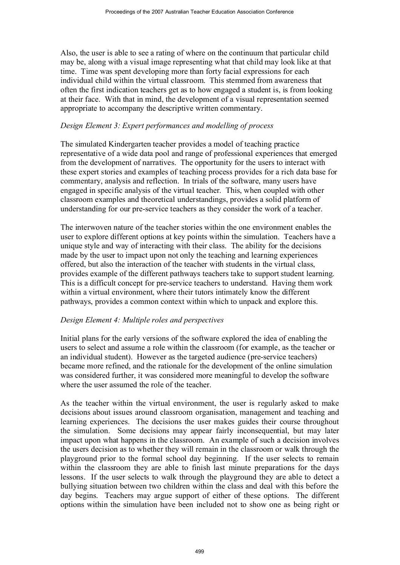Also, the user is able to see a rating of where on the continuum that particular child may be, along with a visual image representing what that child may look like at that time. Time was spent developing more than forty facial expressions for each individual child within the virtual classroom. This stemmed from awareness that often the first indication teachers get as to how engaged a student is, is from looking at their face. With that in mind, the development of a visual representation seemed appropriate to accompany the descriptive written commentary.

#### *Design Element 3: Expert performances and modelling of process*

The simulated Kindergarten teacher provides a model of teaching practice representative of a wide data pool and range of professional experiences that emerged from the development of narratives. The opportunity for the users to interact with these expert stories and examples of teaching process provides for a rich data base for commentary, analysis and reflection. In trials of the software, many users have engaged in specific analysis of the virtual teacher. This, when coupled with other classroom examples and theoretical understandings, provides a solid platform of understanding for our pre-service teachers as they consider the work of a teacher.

The interwoven nature of the teacher stories within the one environment enables the user to explore different options at key points within the simulation. Teachers have a unique style and way of interacting with their class. The ability for the decisions made by the user to impact upon not only the teaching and learning experiences offered, but also the interaction of the teacher with students in the virtual class, provides example of the different pathways teachers take to support student learning. This is a difficult concept for pre-service teachers to understand. Having them work within a virtual environment, where their tutors intimately know the different pathways, provides a common context within which to unpack and explore this.

#### *Design Element 4: Multiple roles and perspectives*

Initial plans for the early versions of the software explored the idea of enabling the users to select and assume a role within the classroom (for example, as the teacher or an individual student). However as the targeted audience (pre-service teachers) became more refined, and the rationale for the development of the online simulation was considered further, it was considered more meaningful to develop the software where the user assumed the role of the teacher.

As the teacher within the virtual environment, the user is regularly asked to make decisions about issues around classroom organisation, management and teaching and learning experiences. The decisions the user makes guides their course throughout the simulation. Some decisions may appear fairly inconsequential, but may later impact upon what happens in the classroom. An example of such a decision involves the users decision as to whether they will remain in the classroom or walk through the playground prior to the formal school day beginning. If the user selects to remain within the classroom they are able to finish last minute preparations for the days lessons. If the user selects to walk through the playground they are able to detect a bullying situation between two children within the class and deal with this before the day begins. Teachers may argue support of either of these options. The different options within the simulation have been included not to show one as being right or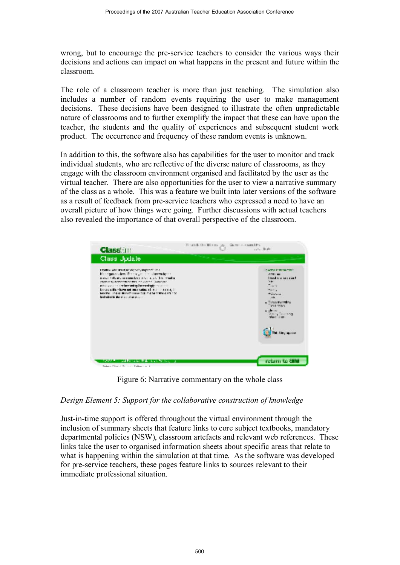wrong, but to encourage the pre-service teachers to consider the various ways their decisions and actions can impact on what happens in the present and future within the classroom.

The role of a classroom teacher is more than just teaching. The simulation also includes a number of random events requiring the user to make management decisions. These decisions have been designed to illustrate the often unpredictable nature of classrooms and to further exemplify the impact that these can have upon the teacher, the students and the quality of experiences and subsequent student work product. The occurrence and frequency of these random events is unknown.

In addition to this, the software also has capabilities for the user to monitor and track individual students, who are reflective of the diverse nature of classrooms, as they engage with the classroom environment organised and facilitated by the user as the virtual teacher. There are also opportunities for the user to view a narrative summary of the class as a whole. This was a feature we built into later versions of the software as a result of feedback from pre-service teachers who expressed a need to have an overall picture of how things were going. Further discussions with actual teachers also revealed the importance of that overall perspective of the classroom.



Figure 6: Narrative commentary on the whole class

## *Design Element 5: Support for the collaborative construction of knowledge*

Just-in-time support is offered throughout the virtual environment through the inclusion of summary sheets that feature links to core subject textbooks, mandatory departmental policies (NSW), classroom artefacts and relevant web references. These links take the user to organised information sheets about specific areas that relate to what is happening within the simulation at that time. As the software was developed for pre-service teachers, these pages feature links to sources relevant to their immediate professional situation.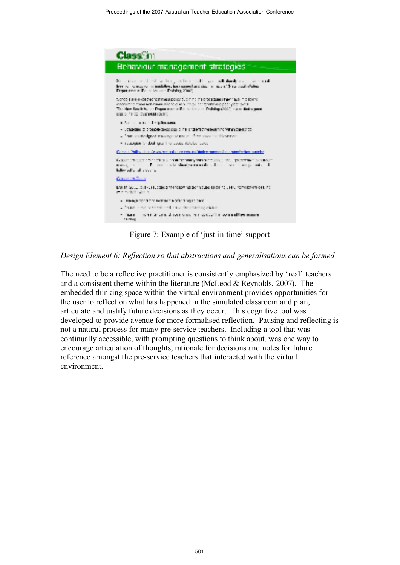

Figure 7: Example of 'just-in-time' support

*Design Element 6: Reflection so that abstractions and generalisations can be formed*

The need to be a reflective practitioner is consistently emphasized by 'real' teachers and a consistent theme within the literature (McLeod & Reynolds, 2007). The embedded thinking space within the virtual environment provides opportunities for the user to reflect on what has happened in the simulated classroom and plan, articulate and justify future decisions as they occur. This cognitive tool was developed to provide avenue for more formalised reflection. Pausing and reflecting is not a natural process for many pre-service teachers. Including a tool that was continually accessible, with prompting questions to think about, was one way to encourage articulation of thoughts, rationale for decisions and notes for future reference amongst the pre-service teachers that interacted with the virtual environment.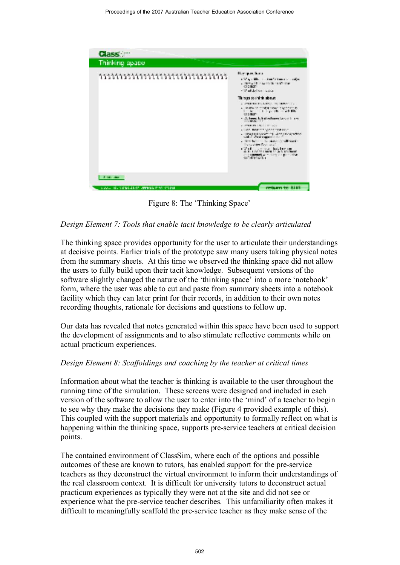

Figure 8: The 'Thinking Space'

## *Design Element 7: Tools that enable tacit knowledge to be clearly articulated*

The thinking space provides opportunity for the user to articulate their understandings at decisive points. Earlier trials of the prototype saw many users taking physical notes from the summary sheets. At this time we observed the thinking space did not allow the users to fully build upon their tacit knowledge. Subsequent versions of the software slightly changed the nature of the 'thinking space' into a more 'notebook' form, where the user was able to cut and paste from summary sheets into a notebook facility which they can later print for their records, in addition to their own notes recording thoughts, rationale for decisions and questions to follow up.

Our data has revealed that notes generated within this space have been used to support the development of assignments and to also stimulate reflective comments while on actual practicum experiences.

#### *Design Element 8: Scaffoldings and coaching by the teacher at critical times*

Information about what the teacher is thinking is available to the user throughout the running time of the simulation. These screens were designed and included in each version of the software to allow the user to enter into the 'mind' of a teacher to begin to see why they make the decisions they make (Figure 4 provided example of this). This coupled with the support materials and opportunity to formally reflect on what is happening within the thinking space, supports pre-service teachers at critical decision points.

The contained environment of ClassSim, where each of the options and possible outcomes of these are known to tutors, has enabled support for the pre-service teachers as they deconstruct the virtual environment to inform their understandings of the real classroom context. It is difficult for university tutors to deconstruct actual practicum experiences as typically they were not at the site and did not see or experience what the pre-service teacher describes. This unfamiliarity often makes it difficult to meaningfully scaffold the pre-service teacher as they make sense of the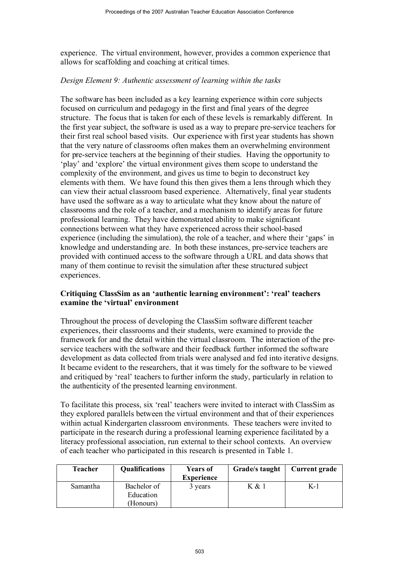experience. The virtual environment, however, provides a common experience that allows for scaffolding and coaching at critical times.

## *Design Element 9: Authentic assessment of learning within the tasks*

The software has been included as a key learning experience within core subjects focused on curriculum and pedagogy in the first and final years of the degree structure. The focus that is taken for each of these levels is remarkably different. In the first year subject, the software is used as a way to prepare pre-service teachers for their first real school based visits. Our experience with first year students has shown that the very nature of classrooms often makes them an overwhelming environment for pre-service teachers at the beginning of their studies. Having the opportunity to 'play' and 'explore' the virtual environment gives them scope to understand the complexity of the environment, and gives us time to begin to deconstruct key elements with them. We have found this then gives them a lens through which they can view their actual classroom based experience. Alternatively, final year students have used the software as a way to articulate what they know about the nature of classrooms and the role of a teacher, and a mechanism to identify areas for future professional learning. They have demonstrated ability to make significant connections between what they have experienced across their school-based experience (including the simulation), the role of a teacher, and where their 'gaps' in knowledge and understanding are. In both these instances, pre-service teachers are provided with continued access to the software through a URL and data shows that many of them continue to revisit the simulation after these structured subject experiences.

## **Critiquing ClassSim as an 'authentic learning environment': 'real' teachers examine the 'virtual' environment**

Throughout the process of developing the ClassSim software different teacher experiences, their classrooms and their students, were examined to provide the framework for and the detail within the virtual classroom. The interaction of the preservice teachers with the software and their feedback further informed the software development as data collected from trials were analysed and fed into iterative designs. It became evident to the researchers, that it was timely for the software to be viewed and critiqued by 'real' teachers to further inform the study, particularly in relation to the authenticity of the presented learning environment.

To facilitate this process, six 'real' teachers were invited to interact with ClassSim as they explored parallels between the virtual environment and that of their experiences within actual Kindergarten classroom environments. These teachers were invited to participate in the research during a professional learning experience facilitated by a literacy professional association, run external to their school contexts. An overview of each teacher who participated in this research is presented in Table 1.

| Teacher  | <b>Qualifications</b> | <b>Years of</b><br><b>Experience</b> | Grade/s taught | <b>Current grade</b> |
|----------|-----------------------|--------------------------------------|----------------|----------------------|
| Samantha | Bachelor of           | 3 years                              | K & 1          | $K-1$                |
|          | Education             |                                      |                |                      |
|          | (Honours)             |                                      |                |                      |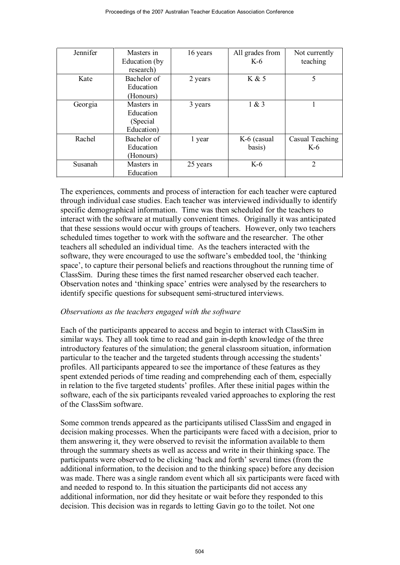| Jennifer | Masters in<br>Education (by<br>research)           | 16 years | All grades from<br>$K-6$ | Not currently<br>teaching |
|----------|----------------------------------------------------|----------|--------------------------|---------------------------|
| Kate     | Bachelor of<br>Education<br>(Honours)              | 2 years  | K & 5                    | 5                         |
| Georgia  | Masters in<br>Education<br>(Special)<br>Education) | 3 years  | 1 & 3                    |                           |
| Rachel   | Bachelor of<br>Education<br>(Honours)              | 1 year   | K-6 (casual<br>basis)    | Casual Teaching<br>K-6    |
| Susanah  | Masters in<br>Education                            | 25 years | $K-6$                    | 2                         |

The experiences, comments and process of interaction for each teacher were captured through individual case studies. Each teacher was interviewed individually to identify specific demographical information. Time was then scheduled for the teachers to interact with the software at mutually convenient times. Originally it was anticipated that these sessions would occur with groups of teachers. However, only two teachers scheduled times together to work with the software and the researcher. The other teachers all scheduled an individual time. As the teachers interacted with the software, they were encouraged to use the software's embedded tool, the 'thinking space', to capture their personal beliefs and reactions throughout the running time of ClassSim. During these times the first named researcher observed each teacher. Observation notes and 'thinking space' entries were analysed by the researchers to identify specific questions for subsequent semi-structured interviews.

#### *Observations as the teachers engaged with the software*

Each of the participants appeared to access and begin to interact with ClassSim in similar ways. They all took time to read and gain in-depth knowledge of the three introductory features of the simulation; the general classroom situation, information particular to the teacher and the targeted students through accessing the students' profiles. All participants appeared to see the importance of these features as they spent extended periods of time reading and comprehending each of them, especially in relation to the five targeted students' profiles. After these initial pages within the software, each of the six participants revealed varied approaches to exploring the rest of the ClassSim software.

Some common trends appeared as the participants utilised ClassSim and engaged in decision making processes. When the participants were faced with a decision, prior to them answering it, they were observed to revisit the information available to them through the summary sheets as well as access and write in their thinking space. The participants were observed to be clicking 'back and forth' several times (from the additional information, to the decision and to the thinking space) before any decision was made. There was a single random event which all six participants were faced with and needed to respond to. In this situation the participants did not access any additional information, nor did they hesitate or wait before they responded to this decision. This decision was in regards to letting Gavin go to the toilet. Not one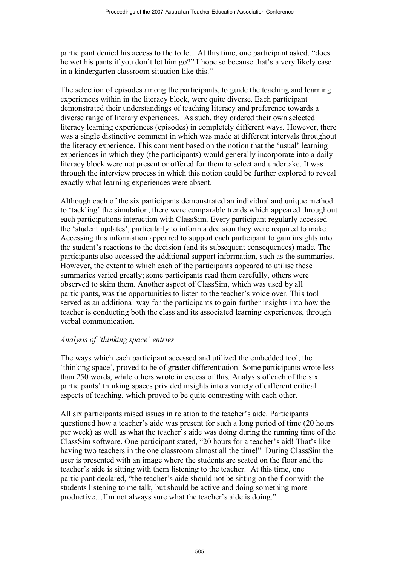participant denied his access to the toilet. At this time, one participant asked, "does he wet his pants if you don't let him go?" I hope so because that's a very likely case in a kindergarten classroom situation like this."

The selection of episodes among the participants, to guide the teaching and learning experiences within in the literacy block, were quite diverse. Each participant demonstrated their understandings of teaching literacy and preference towards a diverse range of literary experiences. As such, they ordered their own selected literacy learning experiences (episodes) in completely different ways. However, there was a single distinctive comment in which was made at different intervals throughout the literacy experience. This comment based on the notion that the 'usual' learning experiences in which they (the participants) would generally incorporate into a daily literacy block were not present or offered for them to select and undertake. It was through the interview process in which this notion could be further explored to reveal exactly what learning experiences were absent.

Although each of the six participants demonstrated an individual and unique method to 'tackling' the simulation, there were comparable trends which appeared throughout each participations interaction with ClassSim. Every participant regularly accessed the 'student updates', particularly to inform a decision they were required to make. Accessing this information appeared to support each participant to gain insights into the student's reactions to the decision (and its subsequent consequences) made. The participants also accessed the additional support information, such as the summaries. However, the extent to which each of the participants appeared to utilise these summaries varied greatly; some participants read them carefully, others were observed to skim them. Another aspect of ClassSim, which was used by all participants, was the opportunities to listen to the teacher's voice over. This tool served as an additional way for the participants to gain further insights into how the teacher is conducting both the class and its associated learning experiences, through verbal communication.

#### *Analysis of 'thinking space' entries*

The ways which each participant accessed and utilized the embedded tool, the 'thinking space', proved to be of greater differentiation. Some participants wrote less than 250 words, while others wrote in excess of this. Analysis of each of the six participants' thinking spaces privided insights into a variety of different critical aspects of teaching, which proved to be quite contrasting with each other.

All six participants raised issues in relation to the teacher's aide. Participants questioned how a teacher's aide was present for such a long period of time (20 hours per week) as well as what the teacher's aide was doing during the running time of the ClassSim software. One participant stated, "20 hours for a teacher's aid! That's like having two teachers in the one classroom almost all the time!" During ClassSim the user is presented with an image where the students are seated on the floor and the teacher's aide is sitting with them listening to the teacher. At this time, one participant declared, "the teacher's aide should not be sitting on the floor with the students listening to me talk, but should be active and doing something more productive…I'm not always sure what the teacher's aide is doing."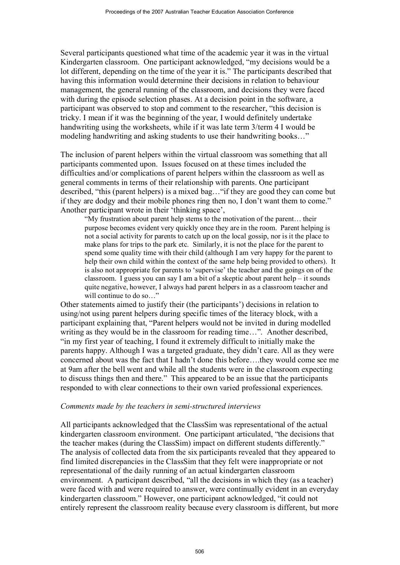Several participants questioned what time of the academic year it was in the virtual Kindergarten classroom. One participant acknowledged, "my decisions would be a lot different, depending on the time of the year it is." The participants described that having this information would determine their decisions in relation to behaviour management, the general running of the classroom, and decisions they were faced with during the episode selection phases. At a decision point in the software, a participant was observed to stop and comment to the researcher, "this decision is tricky. I mean if it was the beginning of the year, I would definitely undertake handwriting using the worksheets, while if it was late term 3/term 4 I would be modeling handwriting and asking students to use their handwriting books…"

The inclusion of parent helpers within the virtual classroom was something that all participants commented upon. Issues focused on at these times included the difficulties and/or complications of parent helpers within the classroom as well as general comments in terms of their relationship with parents. One participant described, "this (parent helpers) is a mixed bag…"if they are good they can come but if they are dodgy and their mobile phones ring then no, I don't want them to come." Another participant wrote in their 'thinking space',

"My frustration about parent help stems to the motivation of the parent… their purpose becomes evident very quickly once they are in the room. Parent helping is not a social activity for parents to catch up on the local gossip, nor is it the place to make plans for trips to the park etc. Similarly, it is not the place for the parent to spend some quality time with their child (although I am very happy for the parent to help their own child within the context of the same help being provided to others). It is also not appropriate for parents to 'supervise' the teacher and the goings on of the classroom. I guess you can say I am a bit of a skeptic about parent help – it sounds quite negative, however, I always had parent helpers in as a classroom teacher and will continue to do so..."

Other statements aimed to justify their (the participants') decisions in relation to using/not using parent helpers during specific times of the literacy block, with a participant explaining that, "Parent helpers would not be invited in during modelled writing as they would be in the classroom for reading time…". Another described, "in my first year of teaching, I found it extremely difficult to initially make the parents happy. Although I was a targeted graduate, they didn't care. All as they were concerned about was the fact that I hadn't done this before….they would come see me at 9am after the bell went and while all the students were in the classroom expecting to discuss things then and there." This appeared to be an issue that the participants responded to with clear connections to their own varied professional experiences.

#### *Comments made by the teachers in semi-structured interviews*

All participants acknowledged that the ClassSim was representational of the actual kindergarten classroom environment. One participant articulated, "the decisions that the teacher makes (during the ClassSim) impact on different students differently." The analysis of collected data from the six participants revealed that they appeared to find limited discrepancies in the ClassSim that they felt were inappropriate or not representational of the daily running of an actual kindergarten classroom environment. A participant described, "all the decisions in which they (as a teacher) were faced with and were required to answer, were continually evident in an everyday kindergarten classroom." However, one participant acknowledged, "it could not entirely represent the classroom reality because every classroom is different, but more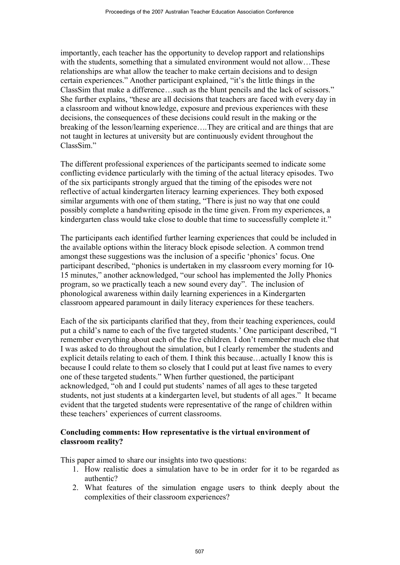importantly, each teacher has the opportunity to develop rapport and relationships with the students, something that a simulated environment would not allow…These relationships are what allow the teacher to make certain decisions and to design certain experiences." Another participant explained, "it's the little things in the ClassSim that make a difference…such as the blunt pencils and the lack of scissors." She further explains, "these are all decisions that teachers are faced with every day in a classroom and without knowledge, exposure and previous experiences with these decisions, the consequences of these decisions could result in the making or the breaking of the lesson/learning experience….They are critical and are things that are not taught in lectures at university but are continuously evident throughout the ClassSim<sup>"</sup>

The different professional experiences of the participants seemed to indicate some conflicting evidence particularly with the timing of the actual literacy episodes. Two of the six participants strongly argued that the timing of the episodes were not reflective of actual kindergarten literacy learning experiences. They both exposed similar arguments with one of them stating, "There is just no way that one could possibly complete a handwriting episode in the time given. From my experiences, a kindergarten class would take close to double that time to successfully complete it."

The participants each identified further learning experiences that could be included in the available options within the literacy block episode selection. A common trend amongst these suggestions was the inclusion of a specific 'phonics' focus. One participant described, "phonics is undertaken in my classroom every morning for 10- 15 minutes," another acknowledged, "our school has implemented the Jolly Phonics program, so we practically teach a new sound every day". The inclusion of phonological awareness within daily learning experiences in a Kindergarten classroom appeared paramount in daily literacy experiences for these teachers.

Each of the six participants clarified that they, from their teaching experiences, could put a child's name to each of the five targeted students.' One participant described, "I remember everything about each of the five children. I don't remember much else that I was asked to do throughout the simulation, but I clearly remember the students and explicit details relating to each of them. I think this because…actually I know this is because I could relate to them so closely that I could put at least five names to every one of these targeted students." When further questioned, the participant acknowledged, "oh and I could put students' names of all ages to these targeted students, not just students at a kindergarten level, but students of all ages." It became evident that the targeted students were representative of the range of children within these teachers' experiences of current classrooms.

## **Concluding comments: How representative is the virtual environment of classroom reality?**

This paper aimed to share our insights into two questions:

- 1. How realistic does a simulation have to be in order for it to be regarded as authentic?
- 2. What features of the simulation engage users to think deeply about the complexities of their classroom experiences?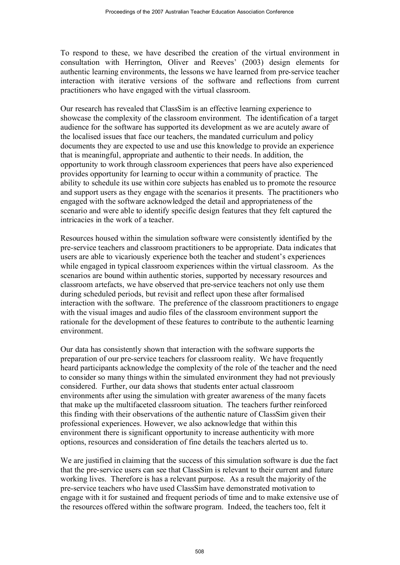To respond to these, we have described the creation of the virtual environment in consultation with Herrington, Oliver and Reeves' (2003) design elements for authentic learning environments, the lessons we have learned from pre-service teacher interaction with iterative versions of the software and reflections from current practitioners who have engaged with the virtual classroom.

Our research has revealed that ClassSim is an effective learning experience to showcase the complexity of the classroom environment. The identification of a target audience for the software has supported its development as we are acutely aware of the localised issues that face our teachers, the mandated curriculum and policy documents they are expected to use and use this knowledge to provide an experience that is meaningful, appropriate and authentic to their needs. In addition, the opportunity to work through classroom experiences that peers have also experienced provides opportunity for learning to occur within a community of practice. The ability to schedule its use within core subjects has enabled us to promote the resource and support users as they engage with the scenarios it presents. The practitioners who engaged with the software acknowledged the detail and appropriateness of the scenario and were able to identify specific design features that they felt captured the intricacies in the work of a teacher.

Resources housed within the simulation software were consistently identified by the pre-service teachers and classroom practitioners to be appropriate. Data indicates that users are able to vicariously experience both the teacher and student's experiences while engaged in typical classroom experiences within the virtual classroom. As the scenarios are bound within authentic stories, supported by necessary resources and classroom artefacts, we have observed that pre-service teachers not only use them during scheduled periods, but revisit and reflect upon these after formalised interaction with the software. The preference of the classroom practitioners to engage with the visual images and audio files of the classroom environment support the rationale for the development of these features to contribute to the authentic learning environment.

Our data has consistently shown that interaction with the software supports the preparation of our pre-service teachers for classroom reality. We have frequently heard participants acknowledge the complexity of the role of the teacher and the need to consider so many things within the simulated environment they had not previously considered. Further, our data shows that students enter actual classroom environments after using the simulation with greater awareness of the many facets that make up the multifaceted classroom situation. The teachers further reinforced this finding with their observations of the authentic nature of ClassSim given their professional experiences. However, we also acknowledge that within this environment there is significant opportunity to increase authenticity with more options, resources and consideration of fine details the teachers alerted us to.

We are justified in claiming that the success of this simulation software is due the fact that the pre-service users can see that ClassSim is relevant to their current and future working lives. Therefore is has a relevant purpose. As a result the majority of the pre-service teachers who have used ClassSim have demonstrated motivation to engage with it for sustained and frequent periods of time and to make extensive use of the resources offered within the software program. Indeed, the teachers too, felt it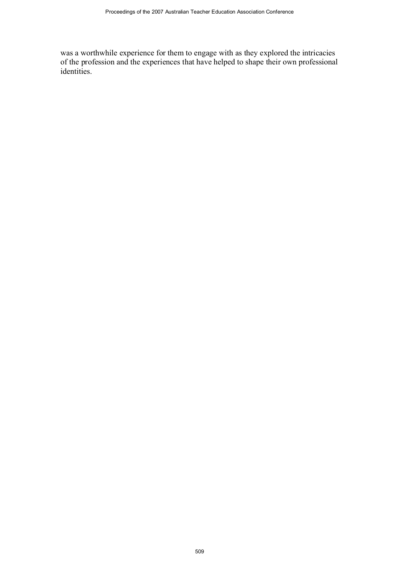was a worthwhile experience for them to engage with as they explored the intricacies of the profession and the experiences that have helped to shape their own professional identities.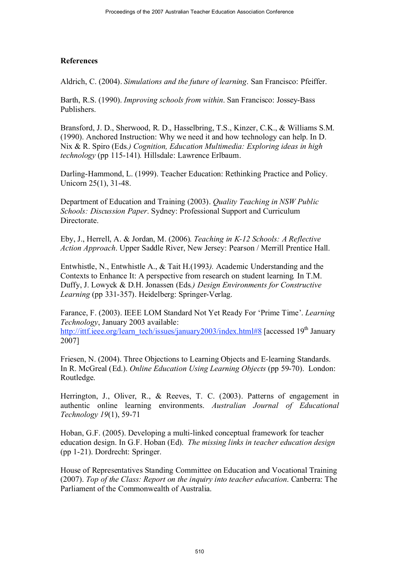#### **References**

Aldrich, C. (2004). *Simulations and the future of learning*. San Francisco: Pfeiffer.

Barth, R.S. (1990). *Improving schools from within*. San Francisco: Jossey-Bass Publishers.

Bransford, J. D., Sherwood, R. D., Hasselbring, T.S., Kinzer, C.K., & Williams S.M. (1990). Anchored Instruction: Why we need it and how technology can help. In D. Nix & R. Spiro (Eds*.) Cognition, Education Multimedia: Exploring ideas in high technology* (pp 115-141)*.* Hillsdale: Lawrence Erlbaum.

Darling-Hammond, L. (1999). Teacher Education: Rethinking Practice and Policy. Unicorn 25(1), 31-48.

Department of Education and Training (2003). *Quality Teaching in NSW Public Schools: Discussion Paper*. Sydney: Professional Support and Curriculum Directorate.

Eby, J., Herrell, A. & Jordan, M. (2006). *Teaching in K-12 Schools: A Reflective Action Approach*. Upper Saddle River, New Jersey: Pearson / Merrill Prentice Hall.

Entwhistle, N., Entwhistle A., & Tait H.(1993*).* Academic Understanding and the Contexts to Enhance It: A perspective from research on student learning*.* In T.M. Duffy, J. Lowyck & D.H. Jonassen (Eds*.) Design Environments for Constructive Learning* (pp 331-357). Heidelberg: Springer-Verlag.

Farance, F. (2003). IEEE LOM Standard Not Yet Ready For 'Prime Time'. *Learning Technology*, January 2003 available: http://ittf.ieee.org/learn\_tech/issues/january2003/index.html#8 [accessed 19<sup>th</sup> January 2007]

Friesen, N. (2004). Three Objections to Learning Objects and E-learning Standards. In R. McGreal (Ed.). *Online Education Using Learning Objects* (pp 59-70). London: Routledge.

Herrington, J., Oliver, R., & Reeves, T. C. (2003). Patterns of engagement in authentic online learning environments. *Australian Journal of Educational Technology 19*(1), 59-71

Hoban, G.F. (2005). Developing a multi-linked conceptual framework for teacher education design. In G.F. Hoban (Ed). *The missing links in teacher education design* (pp 1-21). Dordrecht: Springer.

House of Representatives Standing Committee on Education and Vocational Training (2007). *Top of the Class: Report on the inquiry into teacher education*. Canberra: The Parliament of the Commonwealth of Australia.